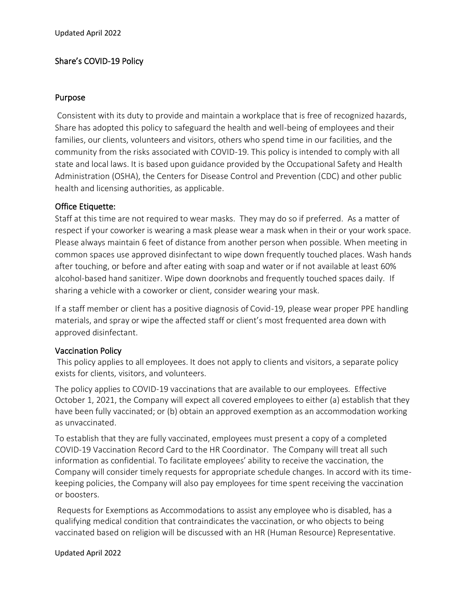# Share's COVID-19 Policy

#### Purpose

Consistent with its duty to provide and maintain a workplace that is free of recognized hazards, Share has adopted this policy to safeguard the health and well-being of employees and their families, our clients, volunteers and visitors, others who spend time in our facilities, and the community from the risks associated with COVID-19. This policy is intended to comply with all state and local laws. It is based upon guidance provided by the Occupational Safety and Health Administration (OSHA), the Centers for Disease Control and Prevention (CDC) and other public health and licensing authorities, as applicable.

## Office Etiquette:

Staff at this time are not required to wear masks. They may do so if preferred. As a matter of respect if your coworker is wearing a mask please wear a mask when in their or your work space. Please always maintain 6 feet of distance from another person when possible. When meeting in common spaces use approved disinfectant to wipe down frequently touched places. Wash hands after touching, or before and after eating with soap and water or if not available at least 60% alcohol-based hand sanitizer. Wipe down doorknobs and frequently touched spaces daily. If sharing a vehicle with a coworker or client, consider wearing your mask.

If a staff member or client has a positive diagnosis of Covid-19, please wear proper PPE handling materials, and spray or wipe the affected staff or client's most frequented area down with approved disinfectant.

## Vaccination Policy

This policy applies to all employees. It does not apply to clients and visitors, a separate policy exists for clients, visitors, and volunteers.

The policy applies to COVID-19 vaccinations that are available to our employees. Effective October 1, 2021, the Company will expect all covered employees to either (a) establish that they have been fully vaccinated; or (b) obtain an approved exemption as an accommodation working as unvaccinated.

To establish that they are fully vaccinated, employees must present a copy of a completed COVID-19 Vaccination Record Card to the HR Coordinator. The Company will treat all such information as confidential. To facilitate employees' ability to receive the vaccination, the Company will consider timely requests for appropriate schedule changes. In accord with its timekeeping policies, the Company will also pay employees for time spent receiving the vaccination or boosters.

Requests for Exemptions as Accommodations to assist any employee who is disabled, has a qualifying medical condition that contraindicates the vaccination, or who objects to being vaccinated based on religion will be discussed with an HR (Human Resource) Representative.

#### Updated April 2022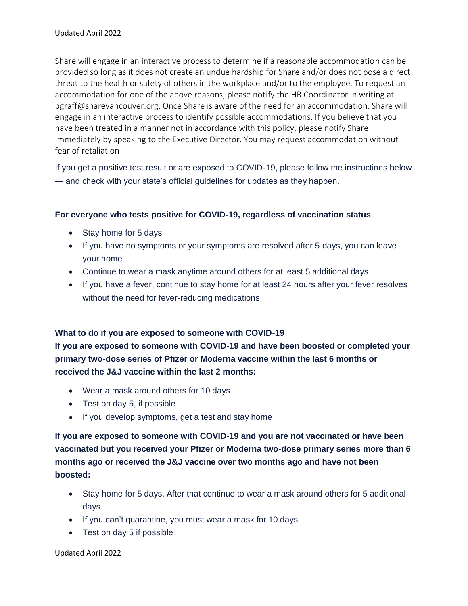Share will engage in an interactive process to determine if a reasonable accommodation can be provided so long as it does not create an undue hardship for Share and/or does not pose a direct threat to the health or safety of others in the workplace and/or to the employee. To request an accommodation for one of the above reasons, please notify the HR Coordinator in writing at bgraff@sharevancouver.org. Once Share is aware of the need for an accommodation, Share will engage in an interactive process to identify possible accommodations. If you believe that you have been treated in a manner not in accordance with this policy, please notify Share immediately by speaking to the Executive Director. You may request accommodation without fear of retaliation

If you get a positive test result or are exposed to COVID-19, please follow the instructions below — and check with your state's official guidelines for updates as they happen.

### **For everyone who tests positive for COVID-19, regardless of vaccination status**

- Stay home for 5 days
- If you have no symptoms or your symptoms are resolved after 5 days, you can leave your home
- Continue to wear a mask anytime around others for at least 5 additional days
- If you have a fever, continue to stay home for at least 24 hours after your fever resolves without the need for fever-reducing medications

#### **What to do if you are exposed to someone with COVID-19**

**If you are exposed to someone with COVID-19 and have been boosted or completed your primary two-dose series of Pfizer or Moderna vaccine within the last 6 months or received the J&J vaccine within the last 2 months:**

- Wear a mask around others for 10 days
- Test on day 5, if possible
- If you develop symptoms, get a test and stay home

**If you are exposed to someone with COVID-19 and you are not vaccinated or have been vaccinated but you received your Pfizer or Moderna two-dose primary series more than 6 months ago or received the J&J vaccine over two months ago and have not been boosted:**

- Stay home for 5 days. After that continue to wear a mask around others for 5 additional days
- If you can't quarantine, you must wear a mask for 10 days
- Test on day 5 if possible

Updated April 2022